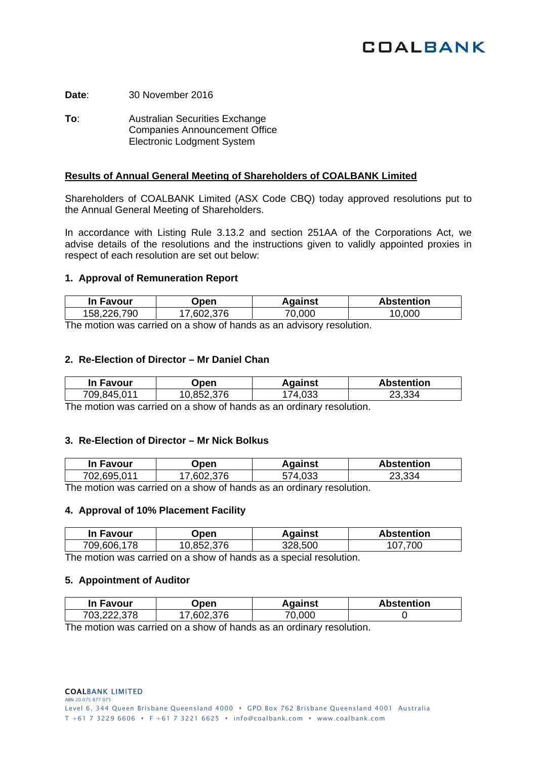# **COALBANK**

**Date**: 30 November 2016

**To:** Australian Securities Exchange Companies Announcement Office Electronic Lodgment System

### **Results of Annual General Meeting of Shareholders of COALBANK Limited**

Shareholders of COALBANK Limited (ASX Code CBQ) today approved resolutions put to the Annual General Meeting of Shareholders.

In accordance with Listing Rule 3.13.2 and section 251AA of the Corporations Act, we advise details of the resolutions and the instructions given to validly appointed proxies in respect of each resolution are set out below:

#### **1. Approval of Remuneration Report**

| In Favour   | Open       | <b>Against</b> | <b>Abstention</b> |
|-------------|------------|----------------|-------------------|
| 158,226,790 | 17,602,376 | 70,000         | .000              |
| -           |            |                |                   |

The motion was carried on a show of hands as an advisory resolution.

#### **2. Re-Election of Director – Mr Daniel Chan**

| In Favour   | <b>Dpen</b> | Against    | <b>Abstention</b> |
|-------------|-------------|------------|-------------------|
| 709,845,011 | 10,852,376  | .033<br>74 | 23.334            |

The motion was carried on a show of hands as an ordinary resolution.

## **3. Re-Election of Director – Mr Nick Bolkus**

| In Favour   | Open     | Against            | <b>Abstention</b> |
|-------------|----------|--------------------|-------------------|
| 702,695,011 | .602.376 | <sup>-74.033</sup> | 23,334            |

The motion was carried on a show of hands as an ordinary resolution.

#### **4. Approval of 10% Placement Facility**

| In Favour   | <b>Open</b> | Against | <b>Abstention</b> |
|-------------|-------------|---------|-------------------|
| 709,606,178 | 10,852,376  | 328,500 | 700<br>107        |

The motion was carried on a show of hands as a special resolution.

#### **5. Appointment of Auditor**

| In Favour   | Open       | Aɑainst | <b>Abstention</b> |
|-------------|------------|---------|-------------------|
| 703,222,378 | 17.602.376 | 70.000  |                   |

The motion was carried on a show of hands as an ordinary resolution.